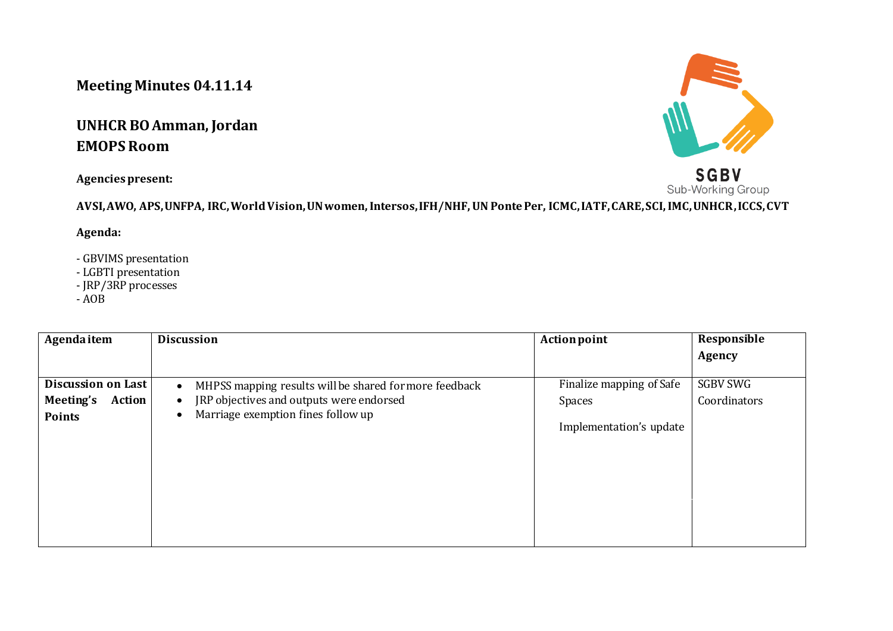## **Meeting Minutes 04.11.14**

## **UNHCR BO Amman, Jordan EMOPS Room**

**Agencies present:**



Sub-Working Group **AVSI, AWO, APS, UNFPA, IRC, World Vision, UN women, Intersos, IFH/NHF, UN Ponte Per, ICMC, IATF, CARE, SCI, IMC, UNHCR, ICCS, CVT**

**Agenda:**

- GBVIMS presentation
- LGBTI presentation
- JRP/3RP processes
- $AOB$

| Agenda item               | <b>Discussion</b>                                                   | <b>Action point</b>      | Responsible     |
|---------------------------|---------------------------------------------------------------------|--------------------------|-----------------|
|                           |                                                                     |                          | Agency          |
| <b>Discussion on Last</b> | MHPSS mapping results will be shared for more feedback<br>$\bullet$ | Finalize mapping of Safe | <b>SGBV SWG</b> |
| Meeting's<br>Action       | JRP objectives and outputs were endorsed<br>$\bullet$               | Spaces                   | Coordinators    |
| <b>Points</b>             | Marriage exemption fines follow up                                  | Implementation's update  |                 |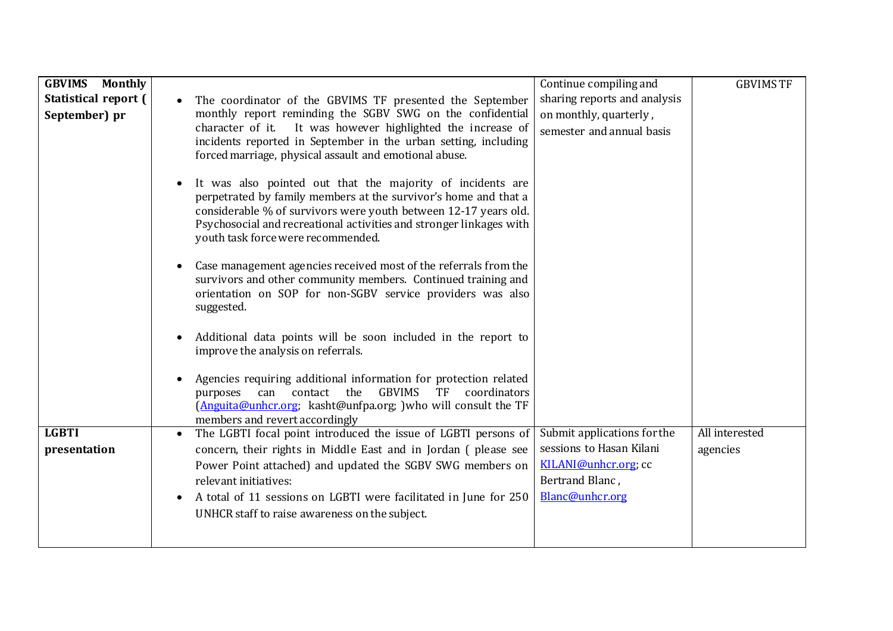| <b>GBVIMS</b><br><b>Monthly</b>       |                                                                                                                                                                                                                                                                                                                                   | Continue compiling and                                                              | <b>GBVIMS TF</b> |
|---------------------------------------|-----------------------------------------------------------------------------------------------------------------------------------------------------------------------------------------------------------------------------------------------------------------------------------------------------------------------------------|-------------------------------------------------------------------------------------|------------------|
| Statistical report (<br>September) pr | The coordinator of the GBVIMS TF presented the September<br>$\bullet$<br>monthly report reminding the SGBV SWG on the confidential<br>It was however highlighted the increase of<br>character of it.<br>incidents reported in September in the urban setting, including<br>forced marriage, physical assault and emotional abuse. | sharing reports and analysis<br>on monthly, quarterly,<br>semester and annual basis |                  |
|                                       | It was also pointed out that the majority of incidents are<br>perpetrated by family members at the survivor's home and that a<br>considerable % of survivors were youth between 12-17 years old.<br>Psychosocial and recreational activities and stronger linkages with<br>youth task force were recommended.                     |                                                                                     |                  |
|                                       | Case management agencies received most of the referrals from the<br>$\bullet$<br>survivors and other community members. Continued training and<br>orientation on SOP for non-SGBV service providers was also<br>suggested.                                                                                                        |                                                                                     |                  |
|                                       | Additional data points will be soon included in the report to<br>improve the analysis on referrals.                                                                                                                                                                                                                               |                                                                                     |                  |
|                                       | Agencies requiring additional information for protection related<br><b>GBVIMS</b><br>coordinators<br>the<br>TF<br>contact<br>can<br>purposes<br>(Anguita@unhcr.org; kasht@unfpa.org; ) who will consult the TF<br>members and revert accordingly                                                                                  |                                                                                     |                  |
| <b>LGBTI</b>                          | The LGBTI focal point introduced the issue of LGBTI persons of                                                                                                                                                                                                                                                                    | Submit applications for the                                                         | All interested   |
| presentation                          | concern, their rights in Middle East and in Jordan (please see                                                                                                                                                                                                                                                                    | sessions to Hasan Kilani                                                            | agencies         |
|                                       | Power Point attached) and updated the SGBV SWG members on                                                                                                                                                                                                                                                                         | KILANI@unhcr.org; cc                                                                |                  |
|                                       | relevant initiatives:                                                                                                                                                                                                                                                                                                             | Bertrand Blanc,                                                                     |                  |
|                                       | A total of 11 sessions on LGBTI were facilitated in June for 250                                                                                                                                                                                                                                                                  | Blanc@unhcr.org                                                                     |                  |
|                                       | UNHCR staff to raise awareness on the subject.                                                                                                                                                                                                                                                                                    |                                                                                     |                  |
|                                       |                                                                                                                                                                                                                                                                                                                                   |                                                                                     |                  |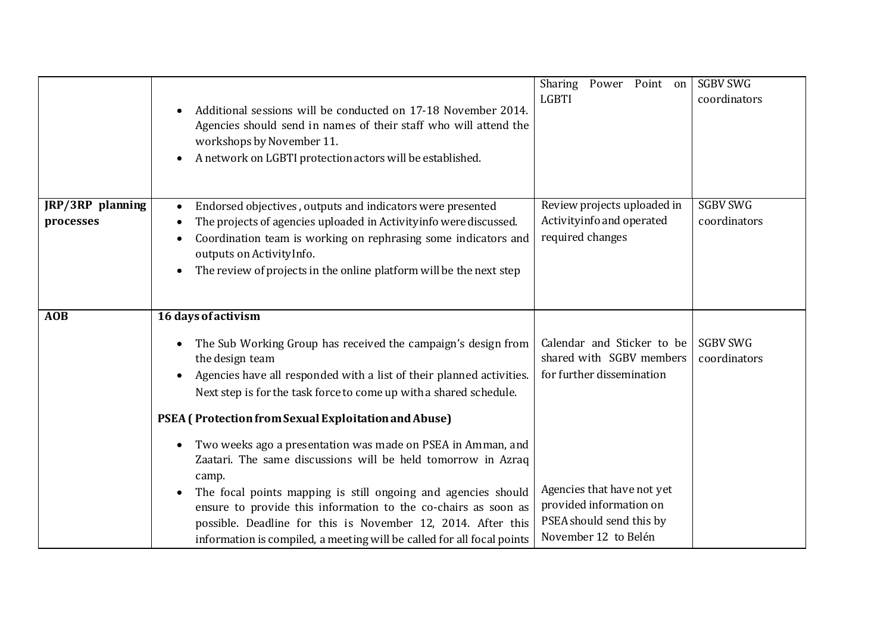|                               | Additional sessions will be conducted on 17-18 November 2014.<br>Agencies should send in names of their staff who will attend the<br>workshops by November 11.<br>A network on LGBTI protection actors will be established.                                                                                                                                                                                                                                                                                                                                                                                                                                                                     | Power Point on<br>Sharing<br><b>LGBTI</b>                                                                                                                                | <b>SGBV SWG</b><br>coordinators |
|-------------------------------|-------------------------------------------------------------------------------------------------------------------------------------------------------------------------------------------------------------------------------------------------------------------------------------------------------------------------------------------------------------------------------------------------------------------------------------------------------------------------------------------------------------------------------------------------------------------------------------------------------------------------------------------------------------------------------------------------|--------------------------------------------------------------------------------------------------------------------------------------------------------------------------|---------------------------------|
| JRP/3RP planning<br>processes | Endorsed objectives, outputs and indicators were presented<br>$\bullet$<br>The projects of agencies uploaded in Activityinfo were discussed.<br>$\bullet$<br>Coordination team is working on rephrasing some indicators and<br>$\bullet$<br>outputs on ActivityInfo.<br>The review of projects in the online platform will be the next step                                                                                                                                                                                                                                                                                                                                                     | Review projects uploaded in<br>Activityinfo and operated<br>required changes                                                                                             | <b>SGBV SWG</b><br>coordinators |
| <b>AOB</b>                    | 16 days of activism<br>The Sub Working Group has received the campaign's design from<br>$\bullet$<br>the design team<br>Agencies have all responded with a list of their planned activities.<br>$\bullet$<br>Next step is for the task force to come up with a shared schedule.<br>PSEA (Protection from Sexual Exploitation and Abuse)<br>Two weeks ago a presentation was made on PSEA in Amman, and<br>$\bullet$<br>Zaatari. The same discussions will be held tomorrow in Azraq<br>camp.<br>The focal points mapping is still ongoing and agencies should<br>ensure to provide this information to the co-chairs as soon as<br>possible. Deadline for this is November 12, 2014. After this | Calendar and Sticker to be<br>shared with SGBV members<br>for further dissemination<br>Agencies that have not yet<br>provided information on<br>PSEA should send this by | <b>SGBV SWG</b><br>coordinators |